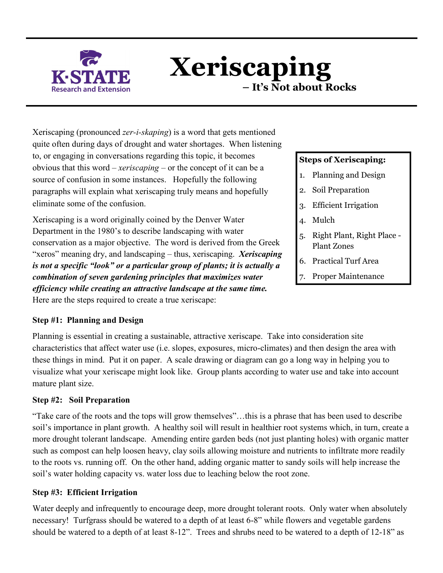

 **Xeriscaping – It's Not about Rocks** 

Xeriscaping (pronounced *zer-i-skaping*) is a word that gets mentioned quite often during days of drought and water shortages. When listening to, or engaging in conversations regarding this topic, it becomes obvious that this word – *xeriscaping* – or the concept of it can be a source of confusion in some instances. Hopefully the following paragraphs will explain what xeriscaping truly means and hopefully eliminate some of the confusion.

Xeriscaping is a word originally coined by the Denver Water Department in the 1980's to describe landscaping with water conservation as a major objective. The word is derived from the Greek "xeros" meaning dry, and landscaping – thus, xeriscaping. *Xeriscaping is not a specific "look" or a particular group of plants; it is actually a combination of seven gardening principles that maximizes water efficiency while creating an attractive landscape at the same time.* Here are the steps required to create a true xeriscape:

## **Steps of Xeriscaping:**

- 1. Planning and Design
- 2. Soil Preparation
- 3. Efficient Irrigation
- 4. Mulch
- 5. Right Plant, Right Place Plant Zones
- 6. Practical Turf Area
- 7. Proper Maintenance

#### **Step #1: Planning and Design**

Planning is essential in creating a sustainable, attractive xeriscape. Take into consideration site characteristics that affect water use (i.e. slopes, exposures, micro-climates) and then design the area with these things in mind. Put it on paper. A scale drawing or diagram can go a long way in helping you to visualize what your xeriscape might look like. Group plants according to water use and take into account mature plant size.

#### **Step #2: Soil Preparation**

"Take care of the roots and the tops will grow themselves"…this is a phrase that has been used to describe soil's importance in plant growth. A healthy soil will result in healthier root systems which, in turn, create a more drought tolerant landscape. Amending entire garden beds (not just planting holes) with organic matter such as compost can help loosen heavy, clay soils allowing moisture and nutrients to infiltrate more readily to the roots vs. running off. On the other hand, adding organic matter to sandy soils will help increase the soil's water holding capacity vs. water loss due to leaching below the root zone.

#### **Step #3: Efficient Irrigation**

Water deeply and infrequently to encourage deep, more drought tolerant roots. Only water when absolutely necessary! Turfgrass should be watered to a depth of at least 6-8" while flowers and vegetable gardens should be watered to a depth of at least 8-12". Trees and shrubs need to be watered to a depth of 12-18" as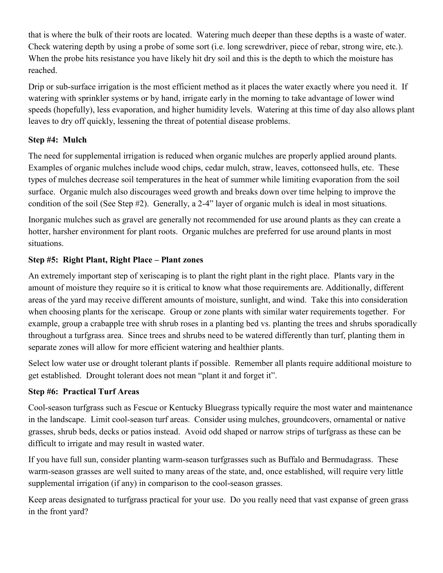that is where the bulk of their roots are located. Watering much deeper than these depths is a waste of water. Check watering depth by using a probe of some sort (i.e. long screwdriver, piece of rebar, strong wire, etc.). When the probe hits resistance you have likely hit dry soil and this is the depth to which the moisture has reached.

Drip or sub-surface irrigation is the most efficient method as it places the water exactly where you need it. If watering with sprinkler systems or by hand, irrigate early in the morning to take advantage of lower wind speeds (hopefully), less evaporation, and higher humidity levels. Watering at this time of day also allows plant leaves to dry off quickly, lessening the threat of potential disease problems.

## **Step #4: Mulch**

The need for supplemental irrigation is reduced when organic mulches are properly applied around plants. Examples of organic mulches include wood chips, cedar mulch, straw, leaves, cottonseed hulls, etc. These types of mulches decrease soil temperatures in the heat of summer while limiting evaporation from the soil surface. Organic mulch also discourages weed growth and breaks down over time helping to improve the condition of the soil (See Step #2). Generally, a 2-4" layer of organic mulch is ideal in most situations.

Inorganic mulches such as gravel are generally not recommended for use around plants as they can create a hotter, harsher environment for plant roots. Organic mulches are preferred for use around plants in most situations.

### **Step #5: Right Plant, Right Place – Plant zones**

An extremely important step of xeriscaping is to plant the right plant in the right place. Plants vary in the amount of moisture they require so it is critical to know what those requirements are. Additionally, different areas of the yard may receive different amounts of moisture, sunlight, and wind. Take this into consideration when choosing plants for the xeriscape. Group or zone plants with similar water requirements together. For example, group a crabapple tree with shrub roses in a planting bed vs. planting the trees and shrubs sporadically throughout a turfgrass area. Since trees and shrubs need to be watered differently than turf, planting them in separate zones will allow for more efficient watering and healthier plants.

Select low water use or drought tolerant plants if possible. Remember all plants require additional moisture to get established. Drought tolerant does not mean "plant it and forget it".

#### **Step #6: Practical Turf Areas**

Cool-season turfgrass such as Fescue or Kentucky Bluegrass typically require the most water and maintenance in the landscape. Limit cool-season turf areas. Consider using mulches, groundcovers, ornamental or native grasses, shrub beds, decks or patios instead. Avoid odd shaped or narrow strips of turfgrass as these can be difficult to irrigate and may result in wasted water.

If you have full sun, consider planting warm-season turfgrasses such as Buffalo and Bermudagrass. These warm-season grasses are well suited to many areas of the state, and, once established, will require very little supplemental irrigation (if any) in comparison to the cool-season grasses.

Keep areas designated to turfgrass practical for your use. Do you really need that vast expanse of green grass in the front yard?